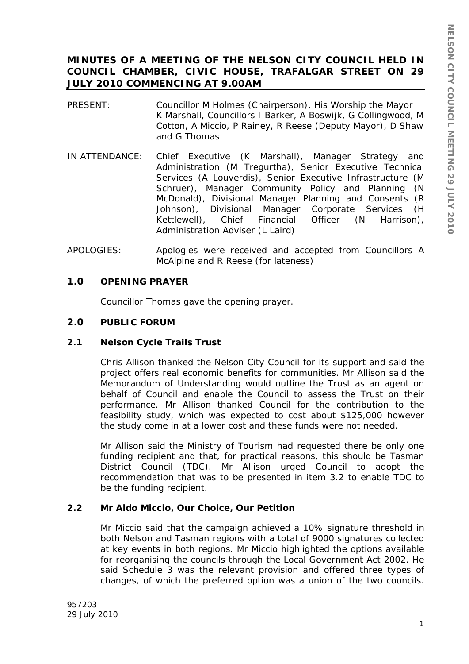# **MINUTES OF A MEETING OF THE NELSON CITY COUNCIL HELD IN COUNCIL CHAMBER, CIVIC HOUSE, TRAFALGAR STREET ON 29 JULY 2010 COMMENCING AT 9.00AM**

- PRESENT: Councillor M Holmes (Chairperson), His Worship the Mayor K Marshall, Councillors I Barker, A Boswijk, G Collingwood, M Cotton, A Miccio, P Rainey, R Reese (Deputy Mayor), D Shaw and G Thomas
- IN ATTENDANCE: Chief Executive (K Marshall), Manager Strategy and Administration (M Tregurtha), Senior Executive Technical Services (A Louverdis), Senior Executive Infrastructure (M Schruer), Manager Community Policy and Planning (N McDonald), Divisional Manager Planning and Consents (R Johnson), Divisional Manager Corporate Services (H Kettlewell), Chief Financial Officer (N Harrison), Administration Adviser (L Laird)
- APOLOGIES: Apologies were received and accepted from Councillors A McAlpine and R Reese (for lateness)

## **1.0 OPENING PRAYER**

Councillor Thomas gave the opening prayer.

## **2.0 PUBLIC FORUM**

## **2.1 Nelson Cycle Trails Trust**

Chris Allison thanked the Nelson City Council for its support and said the project offers real economic benefits for communities. Mr Allison said the Memorandum of Understanding would outline the Trust as an agent on behalf of Council and enable the Council to assess the Trust on their performance. Mr Allison thanked Council for the contribution to the feasibility study, which was expected to cost about \$125,000 however the study come in at a lower cost and these funds were not needed.

Mr Allison said the Ministry of Tourism had requested there be only one funding recipient and that, for practical reasons, this should be Tasman District Council (TDC). Mr Allison urged Council to adopt the recommendation that was to be presented in item 3.2 to enable TDC to be the funding recipient.

## **2.2 Mr Aldo Miccio, Our Choice, Our Petition**

Mr Miccio said that the campaign achieved a 10% signature threshold in both Nelson and Tasman regions with a total of 9000 signatures collected at key events in both regions. Mr Miccio highlighted the options available for reorganising the councils through the Local Government Act 2002. He said Schedule 3 was the relevant provision and offered three types of changes, of which the preferred option was a union of the two councils.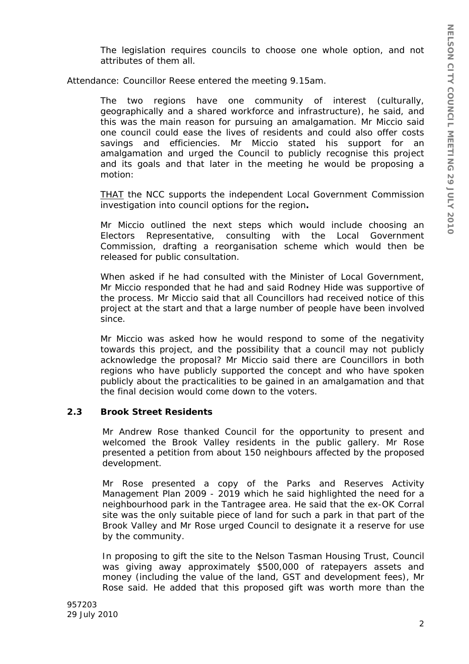The legislation requires councils to choose one whole option, and not attributes of them all.

Attendance: Councillor Reese entered the meeting 9.15am.

The two regions have one community of interest (culturally, geographically and a shared workforce and infrastructure), he said, and this was the main reason for pursuing an amalgamation. Mr Miccio said one council could ease the lives of residents and could also offer costs savings and efficiencies. Mr Miccio stated his support for an amalgamation and urged the Council to publicly recognise this project and its goals and that later in the meeting he would be proposing a motion:

*THAT the NCC supports the independent Local Government Commission investigation into council options for the region.*

Mr Miccio outlined the next steps which would include choosing an Electors Representative, consulting with the Local Government Commission, drafting a reorganisation scheme which would then be released for public consultation.

When asked if he had consulted with the Minister of Local Government, Mr Miccio responded that he had and said Rodney Hide was supportive of the process. Mr Miccio said that all Councillors had received notice of this project at the start and that a large number of people have been involved since.

Mr Miccio was asked how he would respond to some of the negativity towards this project, and the possibility that a council may not publicly acknowledge the proposal? Mr Miccio said there are Councillors in both regions who have publicly supported the concept and who have spoken publicly about the practicalities to be gained in an amalgamation and that the final decision would come down to the voters.

## **2.3 Brook Street Residents**

Mr Andrew Rose thanked Council for the opportunity to present and welcomed the Brook Valley residents in the public gallery. Mr Rose presented a petition from about 150 neighbours affected by the proposed development.

Mr Rose presented a copy of the Parks and Reserves Activity Management Plan 2009 - 2019 which he said highlighted the need for a neighbourhood park in the Tantragee area. He said that the ex-OK Corral site was the only suitable piece of land for such a park in that part of the Brook Valley and Mr Rose urged Council to designate it a reserve for use by the community.

In proposing to gift the site to the Nelson Tasman Housing Trust, Council was giving away approximately \$500,000 of ratepayers assets and money (including the value of the land, GST and development fees), Mr Rose said. He added that this proposed gift was worth more than the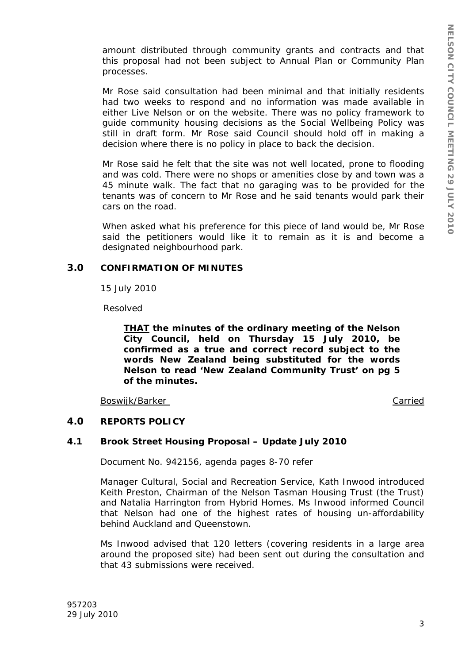amount distributed through community grants and contracts and that this proposal had not been subject to Annual Plan or Community Plan processes.

Mr Rose said consultation had been minimal and that initially residents had two weeks to respond and no information was made available in either Live Nelson or on the website. There was no policy framework to guide community housing decisions as the Social Wellbeing Policy was still in draft form. Mr Rose said Council should hold off in making a decision where there is no policy in place to back the decision.

Mr Rose said he felt that the site was not well located, prone to flooding and was cold. There were no shops or amenities close by and town was a 45 minute walk. The fact that no garaging was to be provided for the tenants was of concern to Mr Rose and he said tenants would park their cars on the road.

When asked what his preference for this piece of land would be, Mr Rose said the petitioners would like it to remain as it is and become a designated neighbourhood park.

## **3.0 CONFIRMATION OF MINUTES**

15 July 2010

Resolved

*THAT the minutes of the ordinary meeting of the Nelson City Council, held on Thursday 15 July 2010, be confirmed as a true and correct record subject to the words New Zealand being substituted for the words Nelson to read 'New Zealand Community Trust' on pg 5 of the minutes.* 

Boswijk/Barker Carried

## **4.0 REPORTS POLICY**

## **4.1 Brook Street Housing Proposal – Update July 2010**

Document No. 942156, agenda pages 8-70 refer

Manager Cultural, Social and Recreation Service, Kath Inwood introduced Keith Preston, Chairman of the Nelson Tasman Housing Trust (the Trust) and Natalia Harrington from Hybrid Homes. Ms Inwood informed Council that Nelson had one of the highest rates of housing un-affordability behind Auckland and Queenstown.

Ms Inwood advised that 120 letters (covering residents in a large area around the proposed site) had been sent out during the consultation and that 43 submissions were received.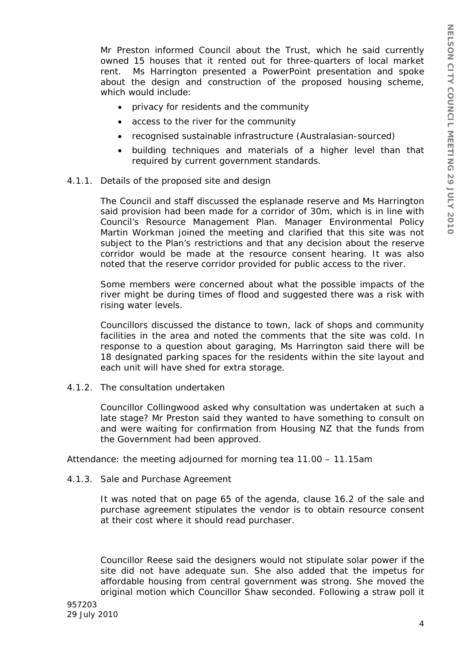Mr Preston informed Council about the Trust, which he said currently owned 15 houses that it rented out for three-quarters of local market rent. Ms Harrington presented a PowerPoint presentation and spoke about the design and construction of the proposed housing scheme, which would include:

- privacy for residents and the community
- access to the river for the community
- recognised sustainable infrastructure (Australasian-sourced)
- building techniques and materials of a higher level than that required by current government standards.
- 4.1.1. Details of the proposed site and design

The Council and staff discussed the esplanade reserve and Ms Harrington said provision had been made for a corridor of 30m, which is in line with Council's Resource Management Plan. Manager Environmental Policy Martin Workman joined the meeting and clarified that this site was not subject to the Plan's restrictions and that any decision about the reserve corridor would be made at the resource consent hearing. It was also noted that the reserve corridor provided for public access to the river.

Some members were concerned about what the possible impacts of the river might be during times of flood and suggested there was a risk with rising water levels.

Councillors discussed the distance to town, lack of shops and community facilities in the area and noted the comments that the site was cold. In response to a question about garaging, Ms Harrington said there will be 18 designated parking spaces for the residents within the site layout and each unit will have shed for extra storage.

4.1.2. The consultation undertaken

Councillor Collingwood asked why consultation was undertaken at such a late stage? Mr Preston said they wanted to have something to consult on and were waiting for confirmation from Housing NZ that the funds from the Government had been approved.

Attendance: the meeting adjourned for morning tea 11.00 – 11.15am

4.1.3. Sale and Purchase Agreement

It was noted that on page 65 of the agenda, clause 16.2 of the sale and purchase agreement stipulates the vendor is to obtain resource consent at their cost where it should read purchaser.

Councillor Reese said the designers would not stipulate solar power if the site did not have adequate sun. She also added that the impetus for affordable housing from central government was strong. She moved the original motion which Councillor Shaw seconded. Following a straw poll it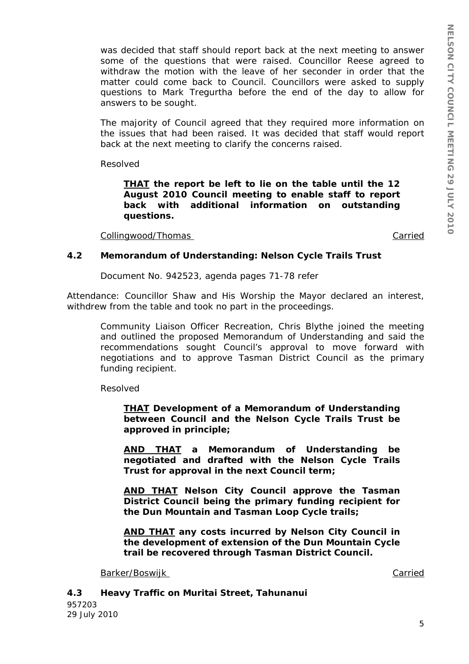was decided that staff should report back at the next meeting to answer some of the questions that were raised. Councillor Reese agreed to withdraw the motion with the leave of her seconder in order that the matter could come back to Council. Councillors were asked to supply questions to Mark Tregurtha before the end of the day to allow for answers to be sought.

The majority of Council agreed that they required more information on the issues that had been raised. It was decided that staff would report back at the next meeting to clarify the concerns raised.

Resolved

*THAT the report be left to lie on the table until the 12 August 2010 Council meeting to enable staff to report back with additional information on outstanding questions.* 

Collingwood/Thomas Carried

## **4.2 Memorandum of Understanding: Nelson Cycle Trails Trust**

Document No. 942523, agenda pages 71-78 refer

Attendance: Councillor Shaw and His Worship the Mayor declared an interest, withdrew from the table and took no part in the proceedings.

Community Liaison Officer Recreation, Chris Blythe joined the meeting and outlined the proposed Memorandum of Understanding and said the recommendations sought Council's approval to move forward with negotiations and to approve Tasman District Council as the primary funding recipient.

Resolved

*THAT Development of a Memorandum of Understanding between Council and the Nelson Cycle Trails Trust be approved in principle;* 

*AND THAT a Memorandum of Understanding be negotiated and drafted with the Nelson Cycle Trails Trust for approval in the next Council term;* 

*AND THAT Nelson City Council approve the Tasman District Council being the primary funding recipient for the Dun Mountain and Tasman Loop Cycle trails;* 

*AND THAT any costs incurred by Nelson City Council in the development of extension of the Dun Mountain Cycle trail be recovered through Tasman District Council.* 

Barker/Boswijk Carried Carried Carried Carried Carried Carried Carried Carried Carried Carried Carried Carried

957203 29 July 2010 **4.3 Heavy Traffic on Muritai Street, Tahunanui**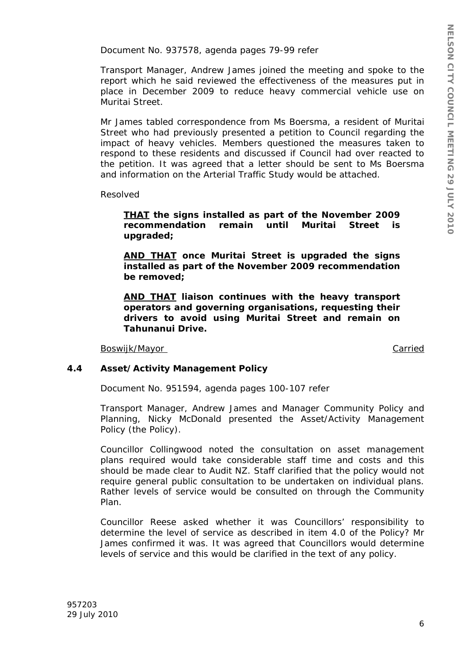Document No. 937578, agenda pages 79-99 refer

Transport Manager, Andrew James joined the meeting and spoke to the report which he said reviewed the effectiveness of the measures put in place in December 2009 to reduce heavy commercial vehicle use on Muritai Street.

Mr James tabled correspondence from Ms Boersma, a resident of Muritai Street who had previously presented a petition to Council regarding the impact of heavy vehicles. Members questioned the measures taken to respond to these residents and discussed if Council had over reacted to the petition. It was agreed that a letter should be sent to Ms Boersma and information on the Arterial Traffic Study would be attached.

Resolved

*THAT the signs installed as part of the November 2009 recommendation remain until Muritai Street is upgraded;* 

*AND THAT once Muritai Street is upgraded the signs installed as part of the November 2009 recommendation be removed;* 

*AND THAT liaison continues with the heavy transport operators and governing organisations, requesting their drivers to avoid using Muritai Street and remain on Tahunanui Drive.* 

Boswijk/Mayor Carried

## **4.4 Asset/Activity Management Policy**

Document No. 951594, agenda pages 100-107 refer

Transport Manager, Andrew James and Manager Community Policy and Planning, Nicky McDonald presented the Asset/Activity Management Policy (the Policy).

Councillor Collingwood noted the consultation on asset management plans required would take considerable staff time and costs and this should be made clear to Audit NZ. Staff clarified that the policy would not require general public consultation to be undertaken on individual plans. Rather levels of service would be consulted on through the Community Plan.

Councillor Reese asked whether it was Councillors' responsibility to determine the level of service as described in item 4.0 of the Policy? Mr James confirmed it was. It was agreed that Councillors would determine levels of service and this would be clarified in the text of any policy.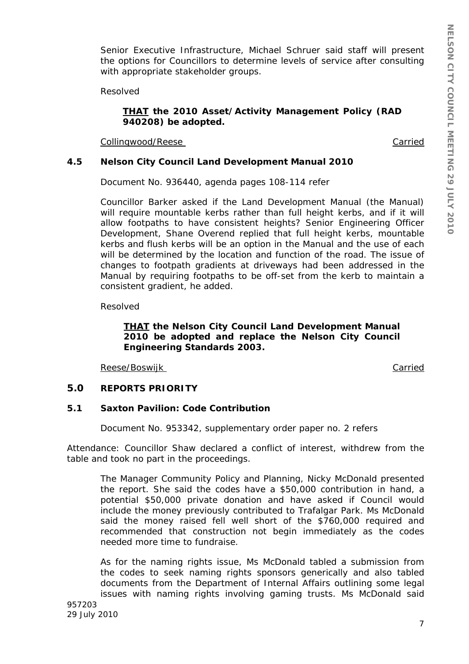Senior Executive Infrastructure, Michael Schruer said staff will present the options for Councillors to determine levels of service after consulting with appropriate stakeholder groups.

Resolved

### *THAT the 2010 Asset/Activity Management Policy (RAD 940208) be adopted.*

Collingwood/Reese Carried

## **4.5 Nelson City Council Land Development Manual 2010**

Document No. 936440, agenda pages 108-114 refer

Councillor Barker asked if the Land Development Manual (the Manual) will require mountable kerbs rather than full height kerbs, and if it will allow footpaths to have consistent heights? Senior Engineering Officer Development, Shane Overend replied that full height kerbs, mountable kerbs and flush kerbs will be an option in the Manual and the use of each will be determined by the location and function of the road. The issue of changes to footpath gradients at driveways had been addressed in the Manual by requiring footpaths to be off-set from the kerb to maintain a consistent gradient, he added.

Resolved

## *THAT the Nelson City Council Land Development Manual 2010 be adopted and replace the Nelson City Council Engineering Standards 2003.*

Reese/Boswijk Carried

## **5.0 REPORTS PRIORITY**

## **5.1 Saxton Pavilion: Code Contribution**

Document No. 953342, supplementary order paper no. 2 refers

Attendance: Councillor Shaw declared a conflict of interest, withdrew from the table and took no part in the proceedings.

The Manager Community Policy and Planning, Nicky McDonald presented the report. She said the codes have a \$50,000 contribution in hand, a potential \$50,000 private donation and have asked if Council would include the money previously contributed to Trafalgar Park. Ms McDonald said the money raised fell well short of the \$760,000 required and recommended that construction not begin immediately as the codes needed more time to fundraise.

As for the naming rights issue, Ms McDonald tabled a submission from the codes to seek naming rights sponsors generically and also tabled documents from the Department of Internal Affairs outlining some legal issues with naming rights involving gaming trusts. Ms McDonald said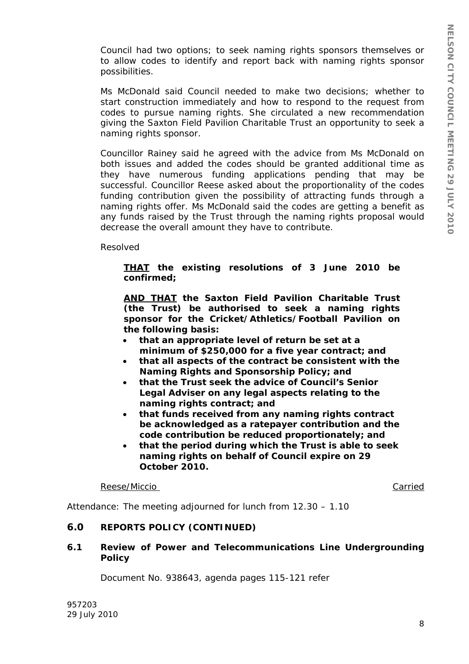Council had two options; to seek naming rights sponsors themselves or to allow codes to identify and report back with naming rights sponsor possibilities.

Ms McDonald said Council needed to make two decisions; whether to start construction immediately and how to respond to the request from codes to pursue naming rights. She circulated a new recommendation giving the Saxton Field Pavilion Charitable Trust an opportunity to seek a naming rights sponsor.

Councillor Rainey said he agreed with the advice from Ms McDonald on both issues and added the codes should be granted additional time as they have numerous funding applications pending that may be successful. Councillor Reese asked about the proportionality of the codes funding contribution given the possibility of attracting funds through a naming rights offer. Ms McDonald said the codes are getting a benefit as any funds raised by the Trust through the naming rights proposal would decrease the overall amount they have to contribute.

Resolved

## *THAT the existing resolutions of 3 June 2010 be confirmed;*

*AND THAT the Saxton Field Pavilion Charitable Trust (the Trust) be authorised to seek a naming rights sponsor for the Cricket/Athletics/Football Pavilion on the following basis:* 

- *that an appropriate level of return be set at a minimum of \$250,000 for a five year contract; and*
- *that all aspects of the contract be consistent with the Naming Rights and Sponsorship Policy; and*
- *that the Trust seek the advice of Council's Senior Legal Adviser on any legal aspects relating to the naming rights contract; and*
- *that funds received from any naming rights contract be acknowledged as a ratepayer contribution and the code contribution be reduced proportionately; and*
- *that the period during which the Trust is able to seek naming rights on behalf of Council expire on 29 October 2010.*

Reese/Miccio Carried

Attendance: The meeting adjourned for lunch from 12.30 – 1.10

# **6.0 REPORTS POLICY (CONTINUED)**

## **6.1 Review of Power and Telecommunications Line Undergrounding Policy**

Document No. 938643, agenda pages 115-121 refer

957203 29 July 2010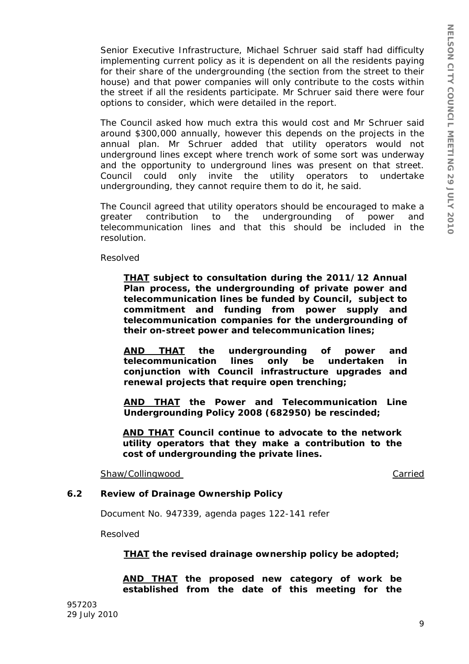Senior Executive Infrastructure, Michael Schruer said staff had difficulty implementing current policy as it is dependent on all the residents paying for their share of the undergrounding (the section from the street to their house) and that power companies will only contribute to the costs within the street if all the residents participate. Mr Schruer said there were four options to consider, which were detailed in the report.

The Council asked how much extra this would cost and Mr Schruer said around \$300,000 annually, however this depends on the projects in the annual plan. Mr Schruer added that utility operators would not underground lines except where trench work of some sort was underway and the opportunity to underground lines was present on that street. Council could only invite the utility operators to undertake undergrounding, they cannot require them to do it, he said.

The Council agreed that utility operators should be encouraged to make a greater contribution to the undergrounding of power and telecommunication lines and that this should be included in the resolution.

Resolved

*THAT subject to consultation during the 2011/12 Annual Plan process, the undergrounding of private power and telecommunication lines be funded by Council, subject to commitment and funding from power supply and telecommunication companies for the undergrounding of their on-street power and telecommunication lines;* 

*AND THAT the undergrounding of power and telecommunication lines only be undertaken in conjunction with Council infrastructure upgrades and renewal projects that require open trenching;* 

*AND THAT the Power and Telecommunication Line Undergrounding Policy 2008 (682950) be rescinded;* 

*AND THAT Council continue to advocate to the network utility operators that they make a contribution to the cost of undergrounding the private lines.* 

Shaw/Collingwood Carried

## **6.2 Review of Drainage Ownership Policy**

Document No. 947339, agenda pages 122-141 refer

Resolved

*THAT the revised drainage ownership policy be adopted;* 

*AND THAT the proposed new category of work be established from the date of this meeting for the*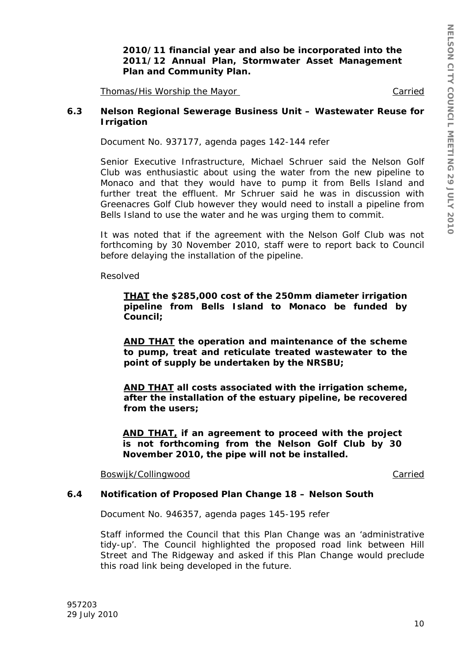*2010/11 financial year and also be incorporated into the 2011/12 Annual Plan, Stormwater Asset Management Plan and Community Plan.* 

Thomas/His Worship the Mayor Carried

#### **6.3 Nelson Regional Sewerage Business Unit – Wastewater Reuse for Irrigation**

Document No. 937177, agenda pages 142-144 refer

Senior Executive Infrastructure, Michael Schruer said the Nelson Golf Club was enthusiastic about using the water from the new pipeline to Monaco and that they would have to pump it from Bells Island and further treat the effluent. Mr Schruer said he was in discussion with Greenacres Golf Club however they would need to install a pipeline from Bells Island to use the water and he was urging them to commit.

It was noted that if the agreement with the Nelson Golf Club was not forthcoming by 30 November 2010, staff were to report back to Council before delaying the installation of the pipeline.

Resolved

*THAT the \$285,000 cost of the 250mm diameter irrigation pipeline from Bells Island to Monaco be funded by Council;* 

*AND THAT the operation and maintenance of the scheme to pump, treat and reticulate treated wastewater to the point of supply be undertaken by the NRSBU;* 

*AND THAT all costs associated with the irrigation scheme, after the installation of the estuary pipeline, be recovered from the users;* 

*AND THAT, if an agreement to proceed with the project is not forthcoming from the Nelson Golf Club by 30 November 2010, the pipe will not be installed.* 

Boswijk/Collingwood **Carried** 

### **6.4 Notification of Proposed Plan Change 18 – Nelson South**

Document No. 946357, agenda pages 145-195 refer

Staff informed the Council that this Plan Change was an 'administrative tidy-up'. The Council highlighted the proposed road link between Hill Street and The Ridgeway and asked if this Plan Change would preclude this road link being developed in the future.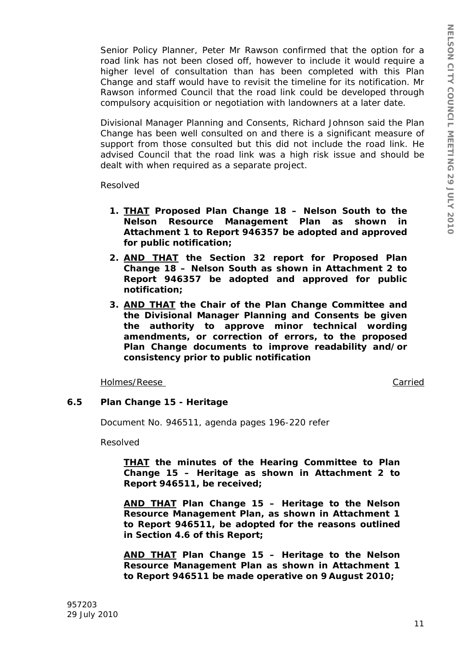Senior Policy Planner, Peter Mr Rawson confirmed that the option for a road link has not been closed off, however to include it would require a higher level of consultation than has been completed with this Plan Change and staff would have to revisit the timeline for its notification. Mr Rawson informed Council that the road link could be developed through compulsory acquisition or negotiation with landowners at a later date.

Divisional Manager Planning and Consents, Richard Johnson said the Plan Change has been well consulted on and there is a significant measure of support from those consulted but this did not include the road link. He advised Council that the road link was a high risk issue and should be dealt with when required as a separate project.

Resolved

- *1. THAT Proposed Plan Change 18 Nelson South to the Nelson Resource Management Plan as shown in Attachment 1 to Report 946357 be adopted and approved for public notification;*
- *2. AND THAT the Section 32 report for Proposed Plan Change 18 – Nelson South as shown in Attachment 2 to Report 946357 be adopted and approved for public notification;*
- *3. AND THAT the Chair of the Plan Change Committee and the Divisional Manager Planning and Consents be given the authority to approve minor technical wording amendments, or correction of errors, to the proposed Plan Change documents to improve readability and/or consistency prior to public notification*

Holmes/Reese Carried

## **6.5 Plan Change 15 - Heritage**

Document No. 946511, agenda pages 196-220 refer

Resolved

*THAT the minutes of the Hearing Committee to Plan Change 15 – Heritage as shown in Attachment 2 to Report 946511, be received;* 

*AND THAT Plan Change 15 – Heritage to the Nelson Resource Management Plan, as shown in Attachment 1 to Report 946511, be adopted for the reasons outlined in Section 4.6 of this Report;* 

*AND THAT Plan Change 15 – Heritage to the Nelson Resource Management Plan as shown in Attachment 1 to Report 946511 be made operative on 9 August 2010;*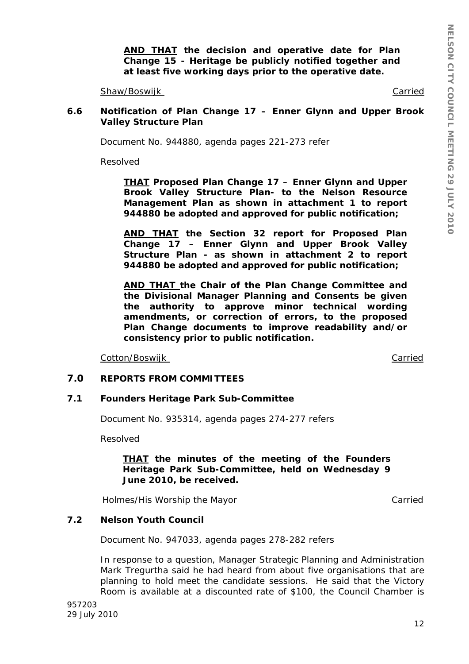*AND THAT the decision and operative date for Plan Change 15 - Heritage be publicly notified together and at least five working days prior to the operative date.* 

Shaw/Boswijk Carried Carried Carried Carried Carried Carried Carried Carried Carried Carried Carried Carried Carried Carried Carried Carried Carried Carried Carried Carried Carried Carried Carried Carried Carried Carried C

#### **6.6 Notification of Plan Change 17 – Enner Glynn and Upper Brook Valley Structure Plan**

Document No. 944880, agenda pages 221-273 refer

Resolved

*THAT Proposed Plan Change 17 – Enner Glynn and Upper Brook Valley Structure Plan- to the Nelson Resource Management Plan as shown in attachment 1 to report 944880 be adopted and approved for public notification;* 

*AND THAT the Section 32 report for Proposed Plan Change 17 – Enner Glynn and Upper Brook Valley Structure Plan - as shown in attachment 2 to report 944880 be adopted and approved for public notification;* 

*AND THAT the Chair of the Plan Change Committee and the Divisional Manager Planning and Consents be given the authority to approve minor technical wording amendments, or correction of errors, to the proposed Plan Change documents to improve readability and/or consistency prior to public notification.* 

Cotton/Boswijk Carried

### **7.0 REPORTS FROM COMMITTEES**

#### **7.1 Founders Heritage Park Sub-Committee**

Document No. 935314, agenda pages 274-277 refers

Resolved

*THAT the minutes of the meeting of the Founders Heritage Park Sub-Committee, held on Wednesday 9 June 2010, be received.* 

Holmes/His Worship the Mayor Carried Carried

**7.2 Nelson Youth Council** 

Document No. 947033, agenda pages 278-282 refers

In response to a question, Manager Strategic Planning and Administration Mark Tregurtha said he had heard from about five organisations that are planning to hold meet the candidate sessions. He said that the Victory Room is available at a discounted rate of \$100, the Council Chamber is

957203 29 July 2010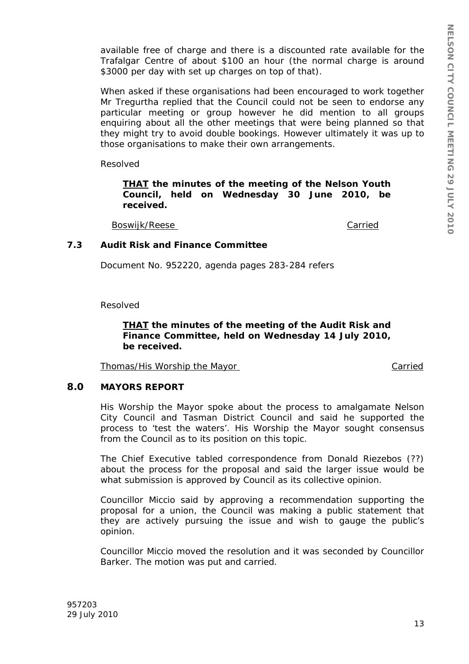available free of charge and there is a discounted rate available for the Trafalgar Centre of about \$100 an hour (the normal charge is around \$3000 per day with set up charges on top of that).

When asked if these organisations had been encouraged to work together Mr Tregurtha replied that the Council could not be seen to endorse any particular meeting or group however he did mention to all groups enquiring about all the other meetings that were being planned so that they might try to avoid double bookings. However ultimately it was up to those organisations to make their own arrangements.

Resolved

*THAT the minutes of the meeting of the Nelson Youth Council, held on Wednesday 30 June 2010, be received.* 

Boswijk/Reese Carried

### **7.3 Audit Risk and Finance Committee**

Document No. 952220, agenda pages 283-284 refers

Resolved

## *THAT the minutes of the meeting of the Audit Risk and Finance Committee, held on Wednesday 14 July 2010, be received.*

Thomas/His Worship the Mayor Carried

**8.0 MAYORS REPORT** 

His Worship the Mayor spoke about the process to amalgamate Nelson City Council and Tasman District Council and said he supported the process to 'test the waters'. His Worship the Mayor sought consensus from the Council as to its position on this topic.

The Chief Executive tabled correspondence from Donald Riezebos (??) about the process for the proposal and said the larger issue would be what submission is approved by Council as its collective opinion.

Councillor Miccio said by approving a recommendation supporting the proposal for a union, the Council was making a public statement that they are actively pursuing the issue and wish to gauge the public's opinion.

Councillor Miccio moved the resolution and it was seconded by Councillor Barker. The motion was put and carried.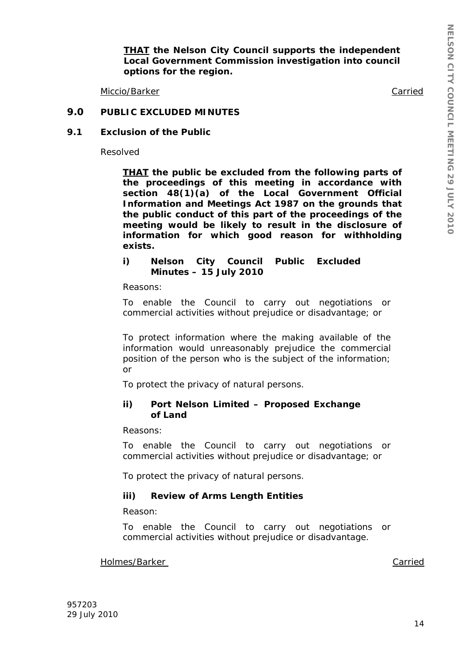*THAT the Nelson City Council supports the independent Local Government Commission investigation into council options for the region.* 

Miccio/Barker Carried Carried Carried Carried Carried Carried Carried Carried Carried Carried Carried Carried

### **9.0 PUBLIC EXCLUDED MINUTES**

#### **9.1 Exclusion of the Public**

Resolved

*THAT the public be excluded from the following parts of the proceedings of this meeting in accordance with section 48(1)(a) of the Local Government Official Information and Meetings Act 1987 on the grounds that the public conduct of this part of the proceedings of the meeting would be likely to result in the disclosure of information for which good reason for withholding exists.* 

*i) Nelson City Council Public Excluded Minutes – 15 July 2010* 

*Reasons:* 

*To enable the Council to carry out negotiations or commercial activities without prejudice or disadvantage; or* 

*To protect information where the making available of the information would unreasonably prejudice the commercial position of the person who is the subject of the information; or* 

*To protect the privacy of natural persons.* 

#### *ii) Port Nelson Limited – Proposed Exchange of Land*

*Reasons:* 

*To enable the Council to carry out negotiations or commercial activities without prejudice or disadvantage; or* 

*To protect the privacy of natural persons.* 

#### *iii) Review of Arms Length Entities*

*Reason:* 

*To enable the Council to carry out negotiations or commercial activities without prejudice or disadvantage.* 

Holmes/Barker Carried